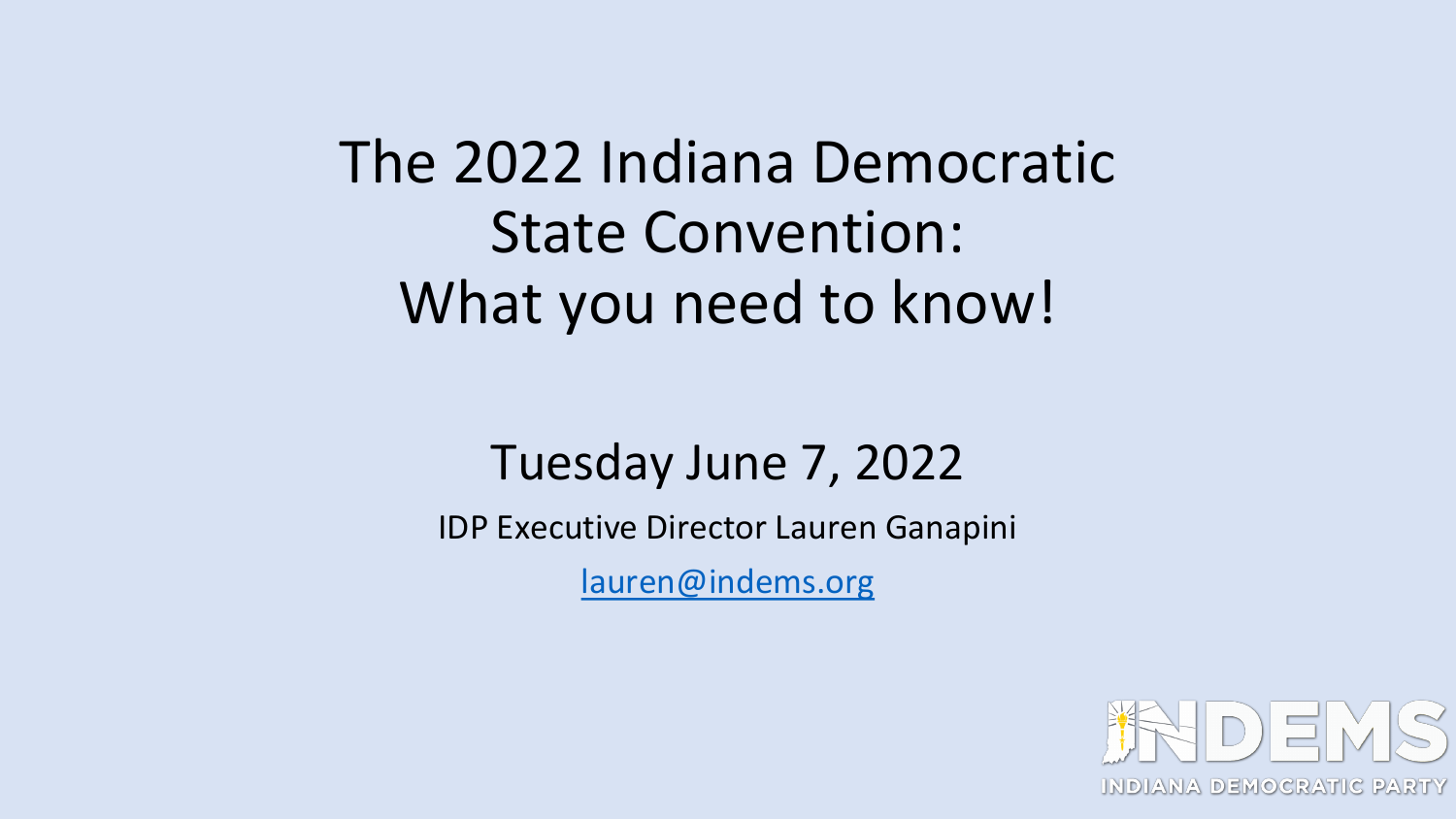### The 2022 Indiana Democratic State Convention: What you need to know!

### Tuesday June 7, 2022

IDP Executive Director Lauren Ganapini

[lauren@indems.org](mailto:lauren@indems.org)

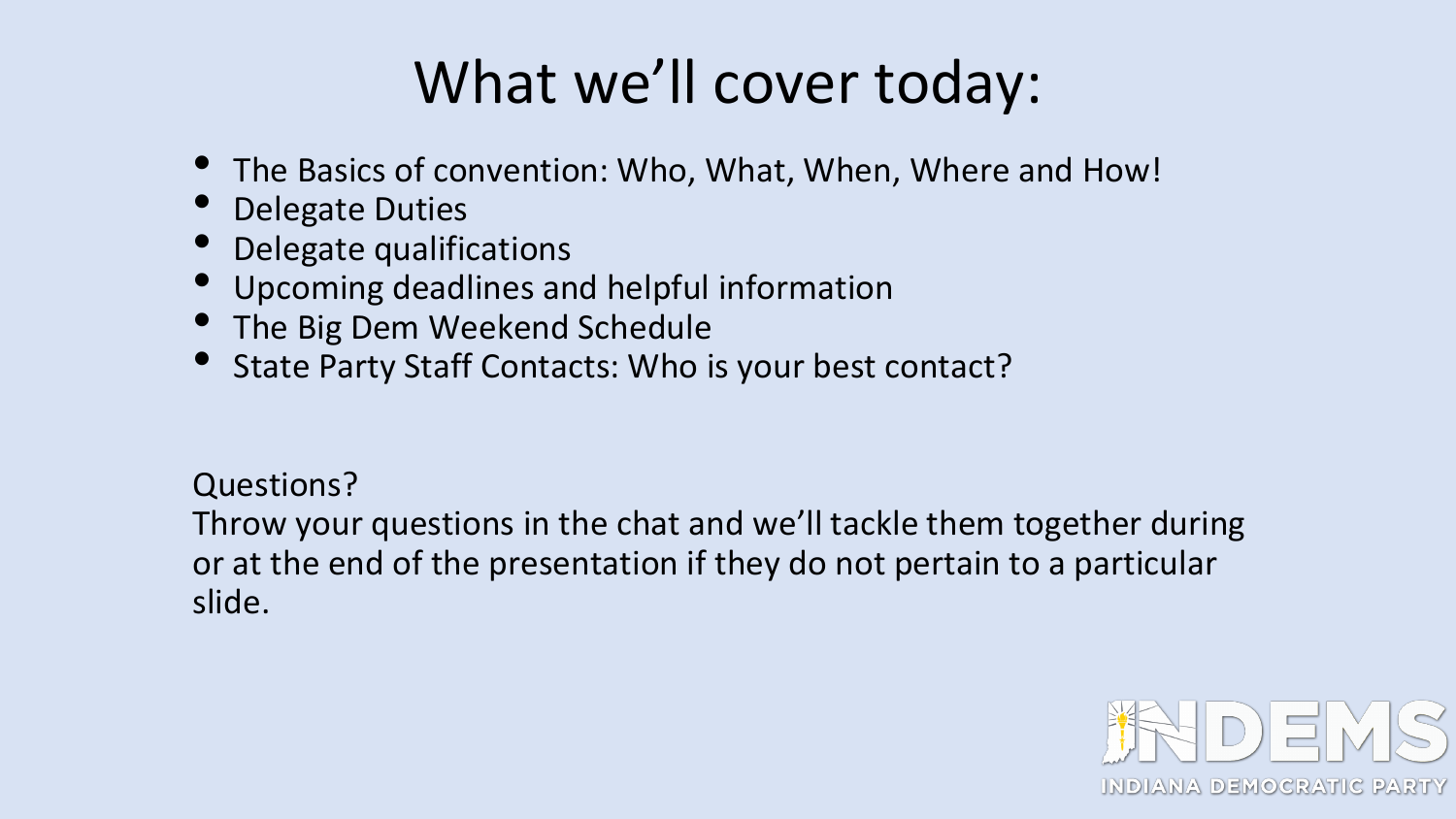# What we'll cover today:

- The Basics of convention: Who, What, When, Where and How!
- Delegate Duties
- Delegate qualifications
- Upcoming deadlines and helpful information
- The Big Dem Weekend Schedule
- State Party Staff Contacts: Who is your best contact?

Questions?

Throw your questions in the chat and we'll tackle them together during or at the end of the presentation if they do not pertain to a particular slide.

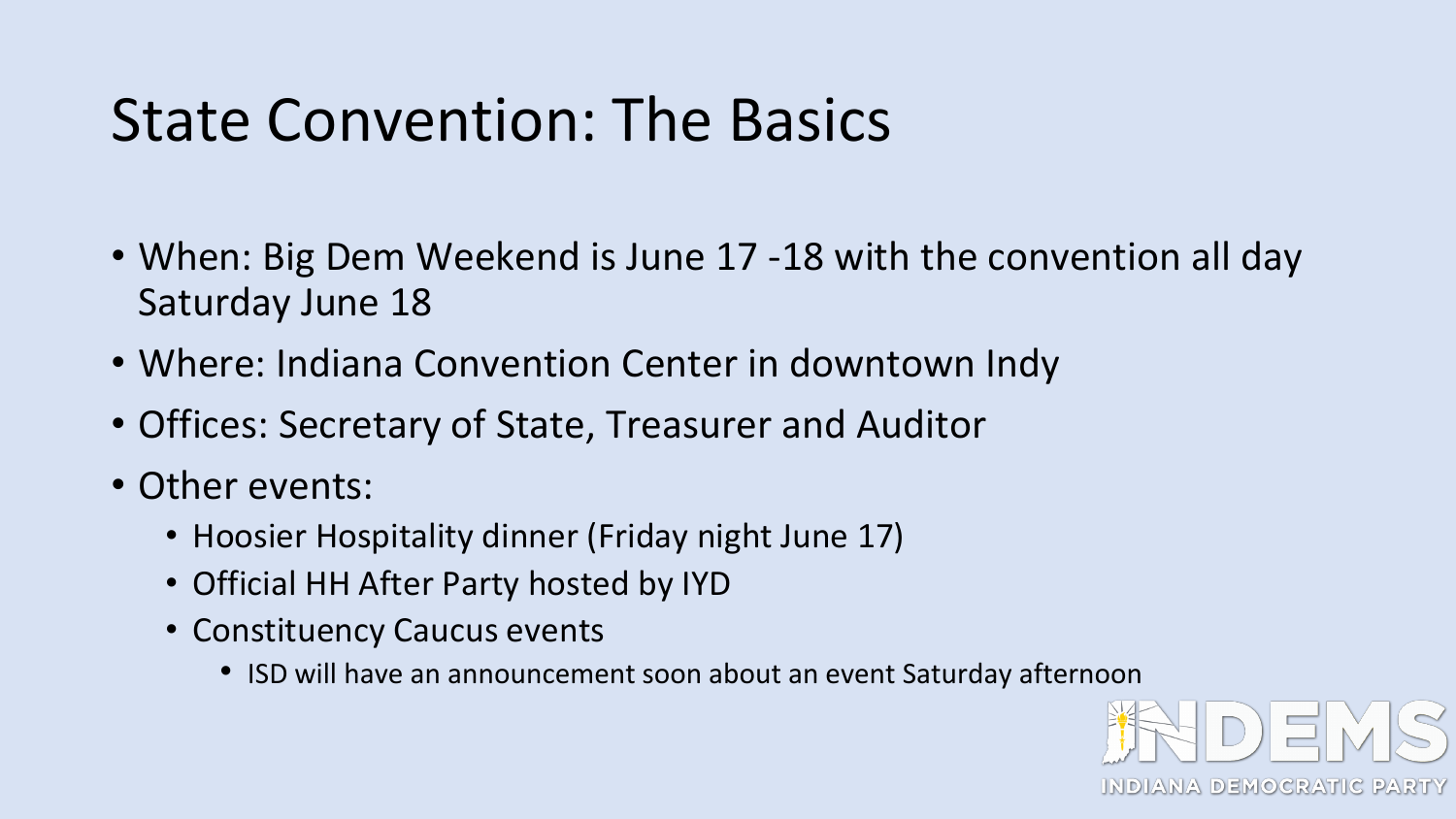### State Convention: The Basics

- When: Big Dem Weekend is June 17 -18 with the convention all day Saturday June 18
- Where: Indiana Convention Center in downtown Indy
- Offices: Secretary of State, Treasurer and Auditor
- Other events:
	- Hoosier Hospitality dinner (Friday night June 17)
	- Official HH After Party hosted by IYD
	- Constituency Caucus events
		- ISD will have an announcement soon about an event Saturday afternoon

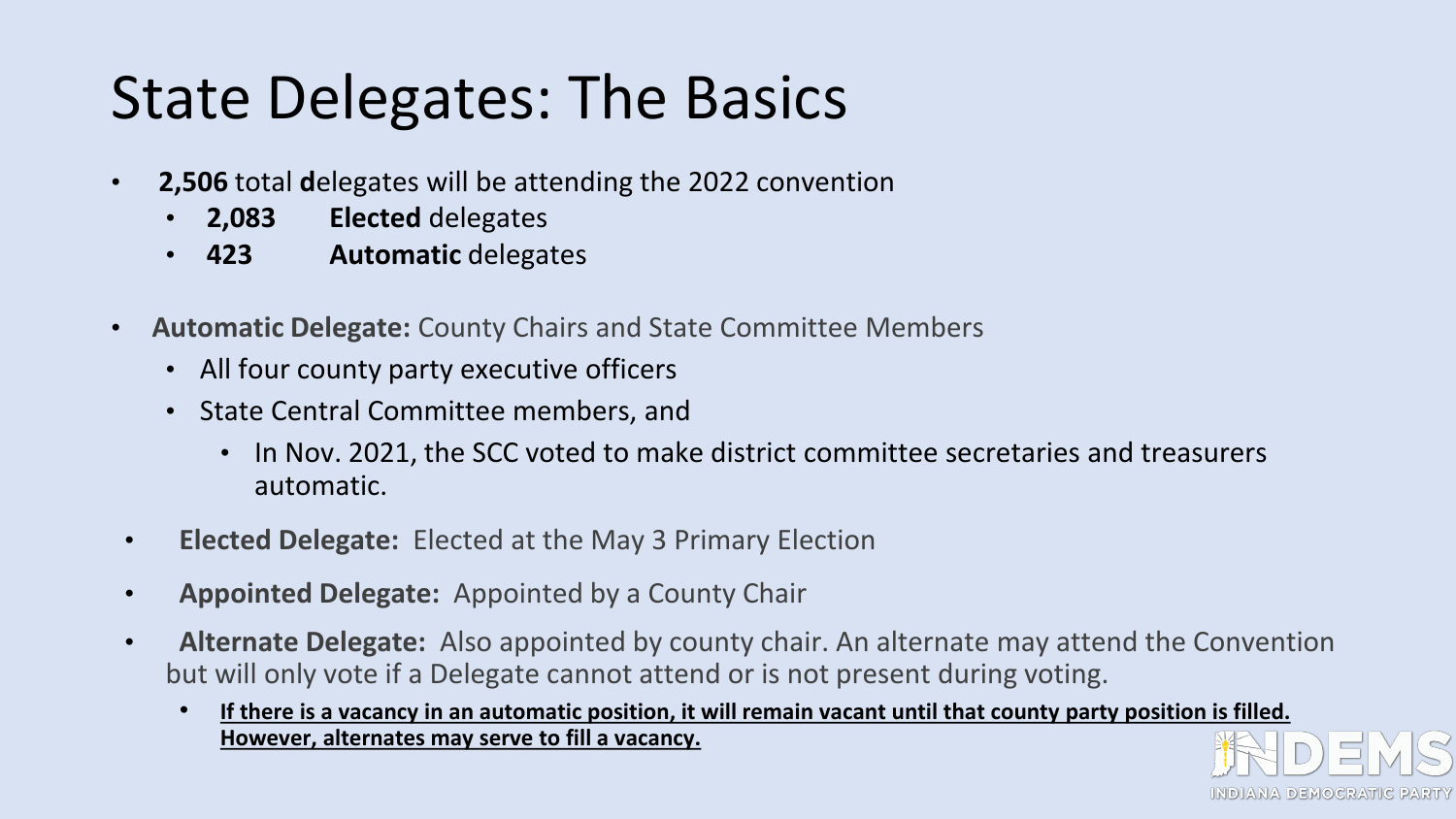# State Delegates: The Basics

- **2,506** total **d**elegates will be attending the 2022 convention
	- **2,083 Elected** delegates
	- **423 Automatic** delegates
- **Automatic Delegate:** County Chairs and State Committee Members
	- All four county party executive officers
	- State Central Committee members, and
		- In Nov. 2021, the SCC voted to make district committee secretaries and treasurers automatic.
- **Elected Delegate:** Elected at the May 3 Primary Election
- **Appointed Delegate:** Appointed by a County Chair
- **Alternate Delegate:** Also appointed by county chair. An alternate may attend the Convention but will only vote if a Delegate cannot attend or is not present during voting.
	- **If there is a vacancy in an automatic position, it will remain vacant until that county party position is filled. However, alternates may serve to fill a vacancy.**

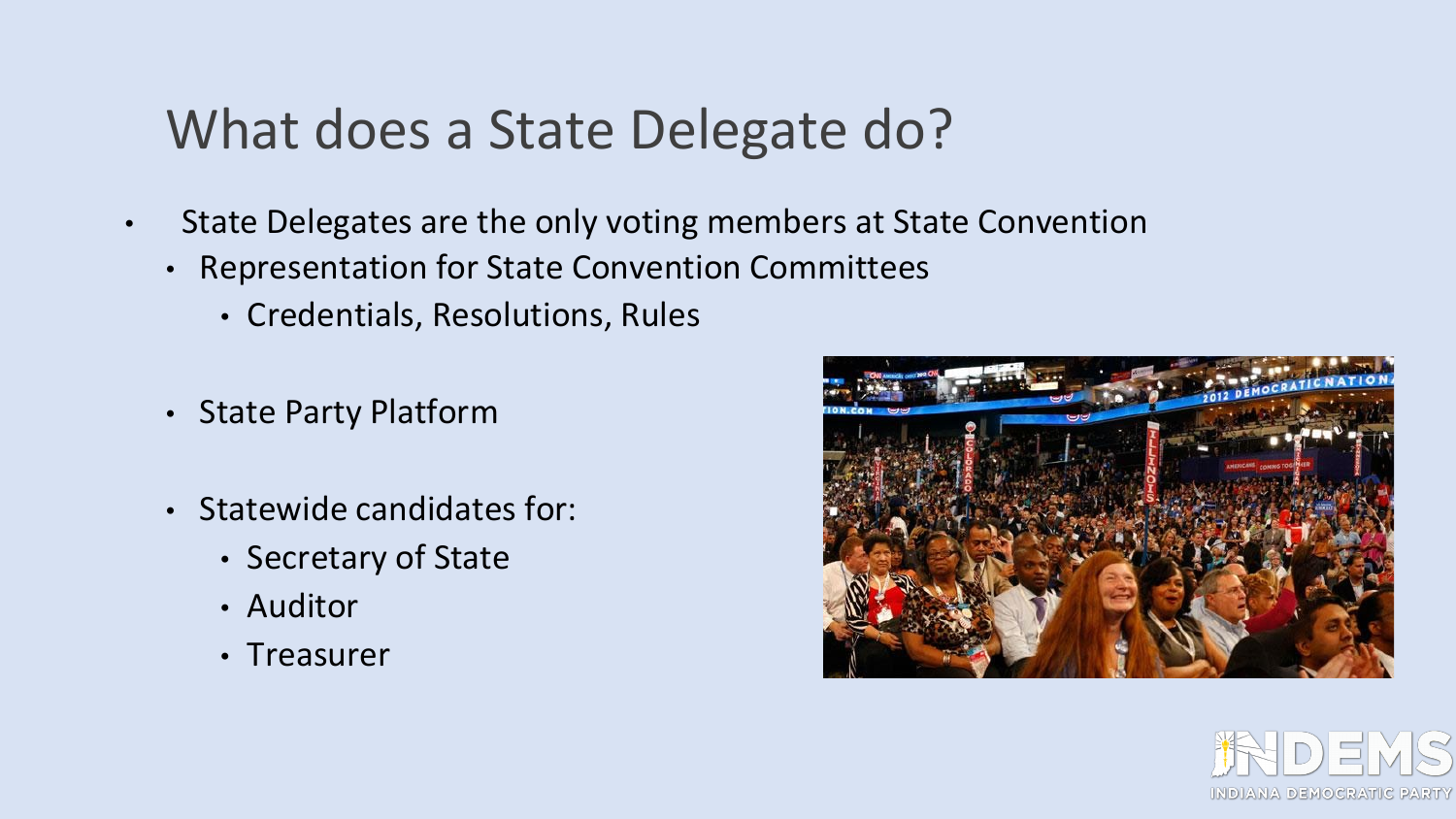### What does a State Delegate do?

- State Delegates are the only voting members at State Convention
	- Representation for State Convention Committees
		- Credentials, Resolutions, Rules
	- State Party Platform
	- Statewide candidates for:
		- Secretary of State
		- Auditor
		- Treasurer



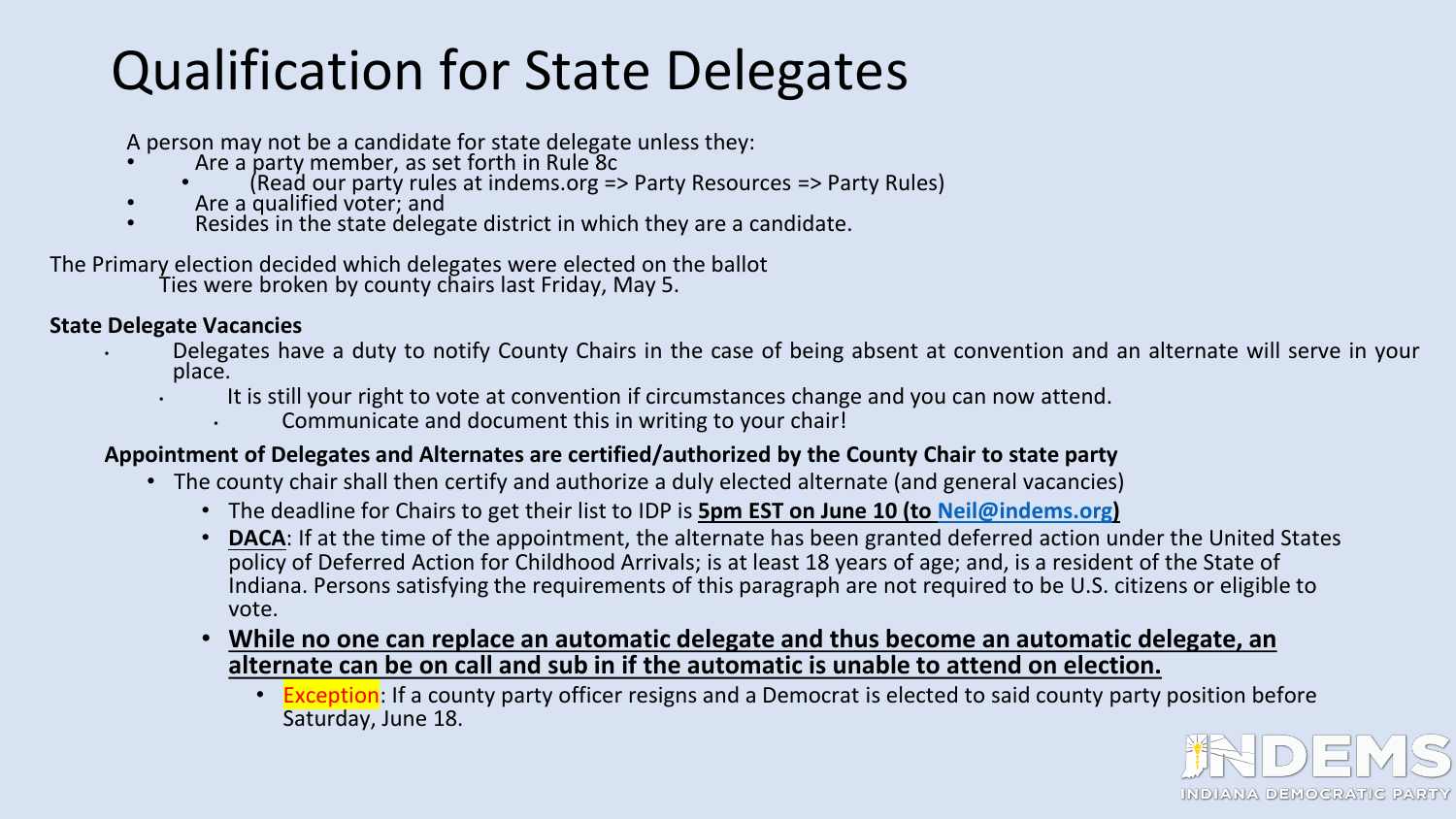### Qualification for State Delegates

A person may not be a candidate for state delegate unless they:

- Are a party member, as set forth in Rule 8c
- (Read our party rules at indems.org => Party Resources => Party Rules)<br>• Are a qualified voter; and <br>• Resides in the state delegate district in which they are a candidate.
- 
- 

The Primary election decided which delegates were elected on the ballot Ties were broken by county chairs last Friday, May 5.

#### **State Delegate Vacancies**

- Delegates have a duty to notify County Chairs in the case of being absent at convention and an alternate will serve in your<br>place.
	- It is still your right to vote at convention if circumstances change and you can now attend.
		- Communicate and document this in writing to your chair!

#### **Appointment of Delegates and Alternates are certified/authorized by the County Chair to state party**

- The county chair shall then certify and authorize a duly elected alternate (and general vacancies)
	- The deadline for Chairs to get their list to IDP is **5pm EST on June 10 (to [Neil@indems.org\)](mailto:Neil@indems.org)**
	- **DACA**: If at the time of the appointment, the alternate has been granted deferred action under the United States policy of Deferred Action for Childhood Arrivals; is at least 18 years of age; and, is a resident of the State of Indiana. Persons satisfying the requirements of this paragraph are not required to be U.S. citizens or eligible to vote.
	- **While no one can replace an automatic delegate and thus become an automatic delegate, an alternate can be on call and sub in if the automatic is unable to attend on election.** 
		- Exception: If a county party officer resigns and a Democrat is elected to said county party position before Saturday, June 18.

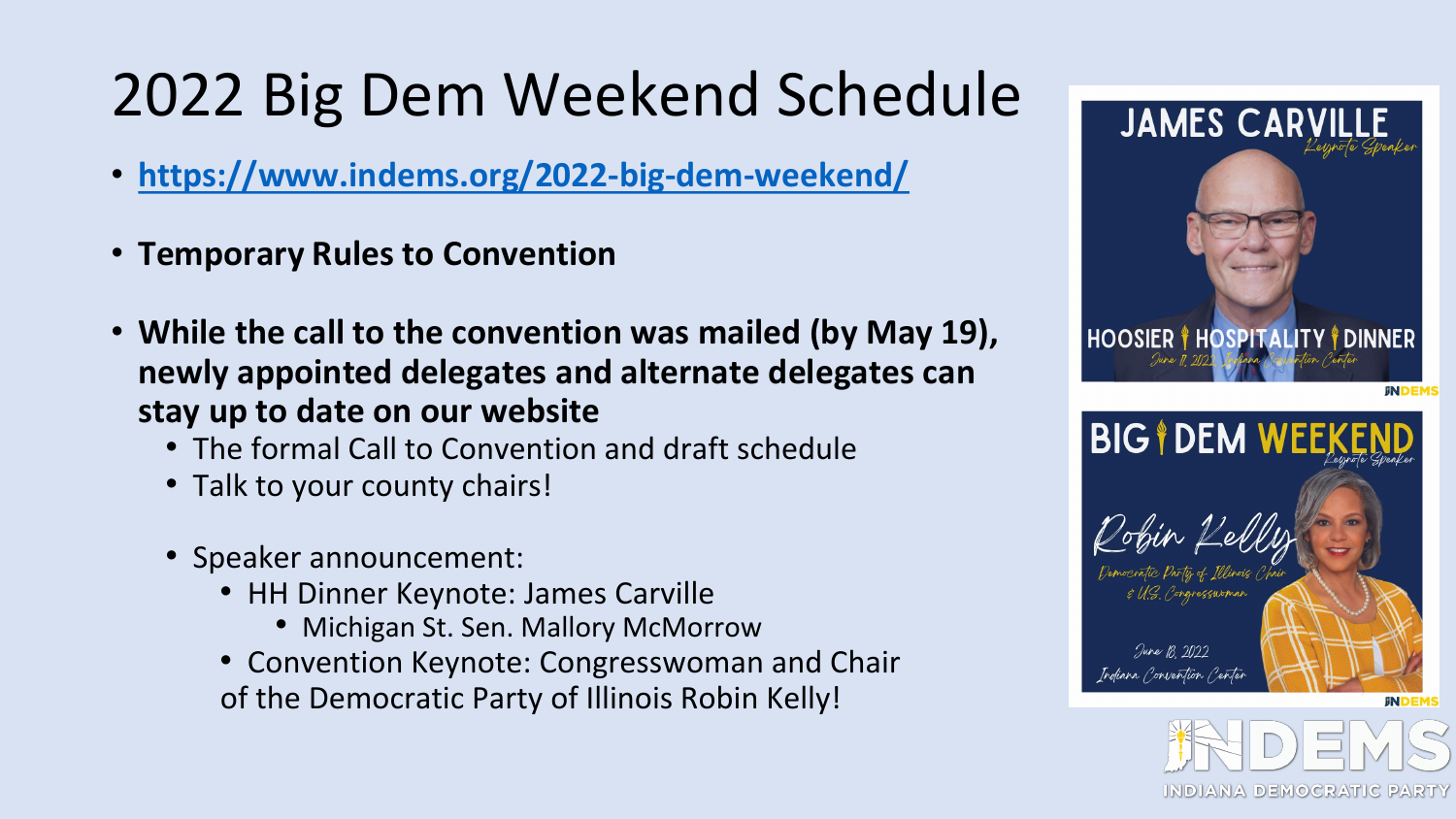# 2022 Big Dem Weekend Schedule

- **<https://www.indems.org/2022-big-dem-weekend/>**
- **Temporary Rules to Convention**
- **While the call to the convention was mailed (by May 19), newly appointed delegates and alternate delegates can stay up to date on our website**
	- The formal Call to Convention and draft schedule
	- Talk to your county chairs!
	- Speaker announcement:
		- HH Dinner Keynote: James Carville
			- Michigan St. Sen. Mallory McMorrow
		- Convention Keynote: Congresswoman and Chair of the Democratic Party of Illinois Robin Kelly!

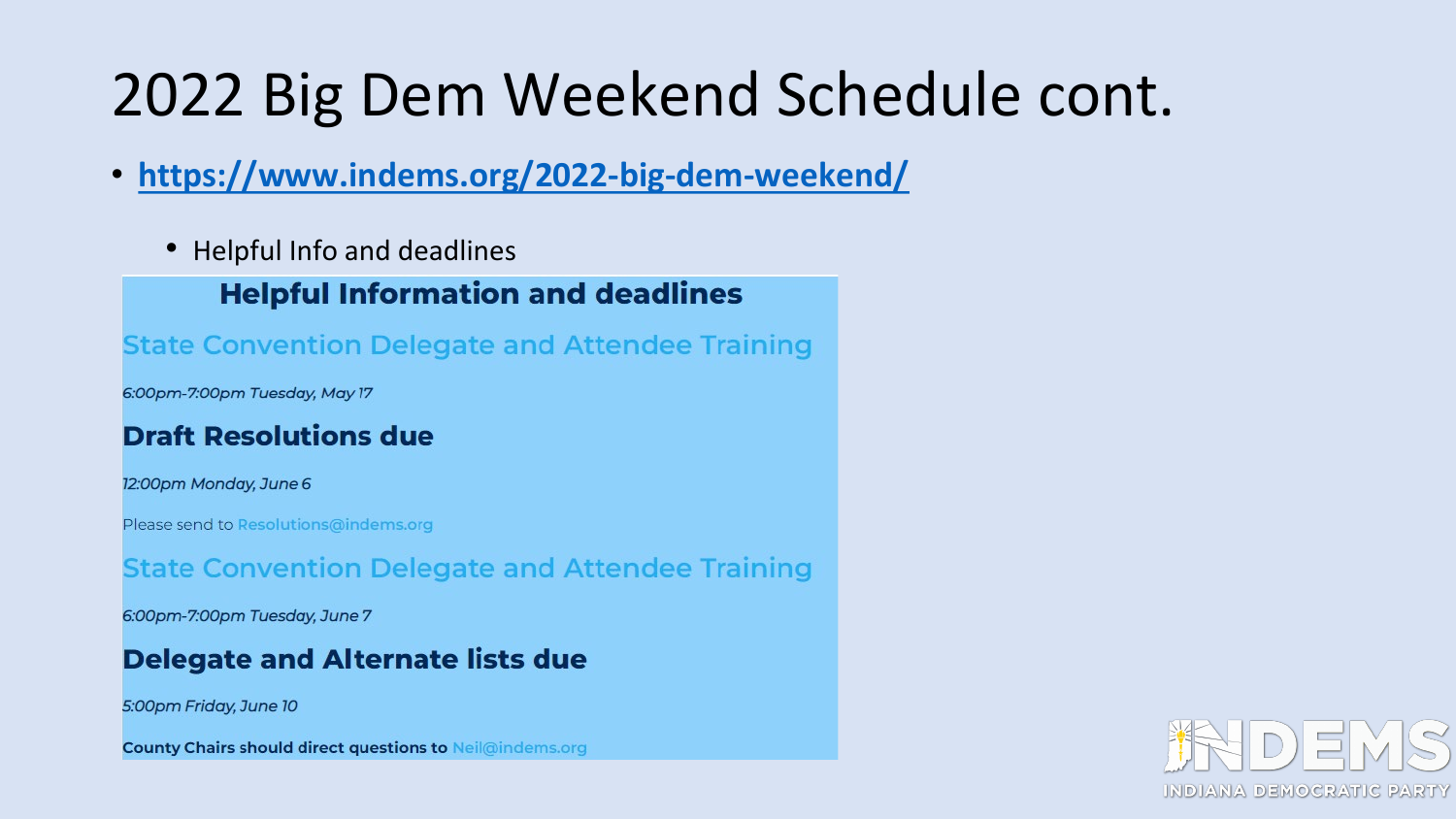# 2022 Big Dem Weekend Schedule cont.

- **<https://www.indems.org/2022-big-dem-weekend/>**
	- Helpful Info and deadlines

### **Helpful Information and deadlines**

**State Convention Delegate and Attendee Training** 

6:00pm-7:00pm Tuesday, May 17

### **Draft Resolutions due**

12:00pm Monday, June 6

Please send to Resolutions@indems.org

**State Convention Delegate and Attendee Training** 

6:00pm-7:00pm Tuesday, June 7

### **Delegate and Alternate lists due**

5:00pm Friday, June 10

**County Chairs should direct questions to Neil@indems.org** 

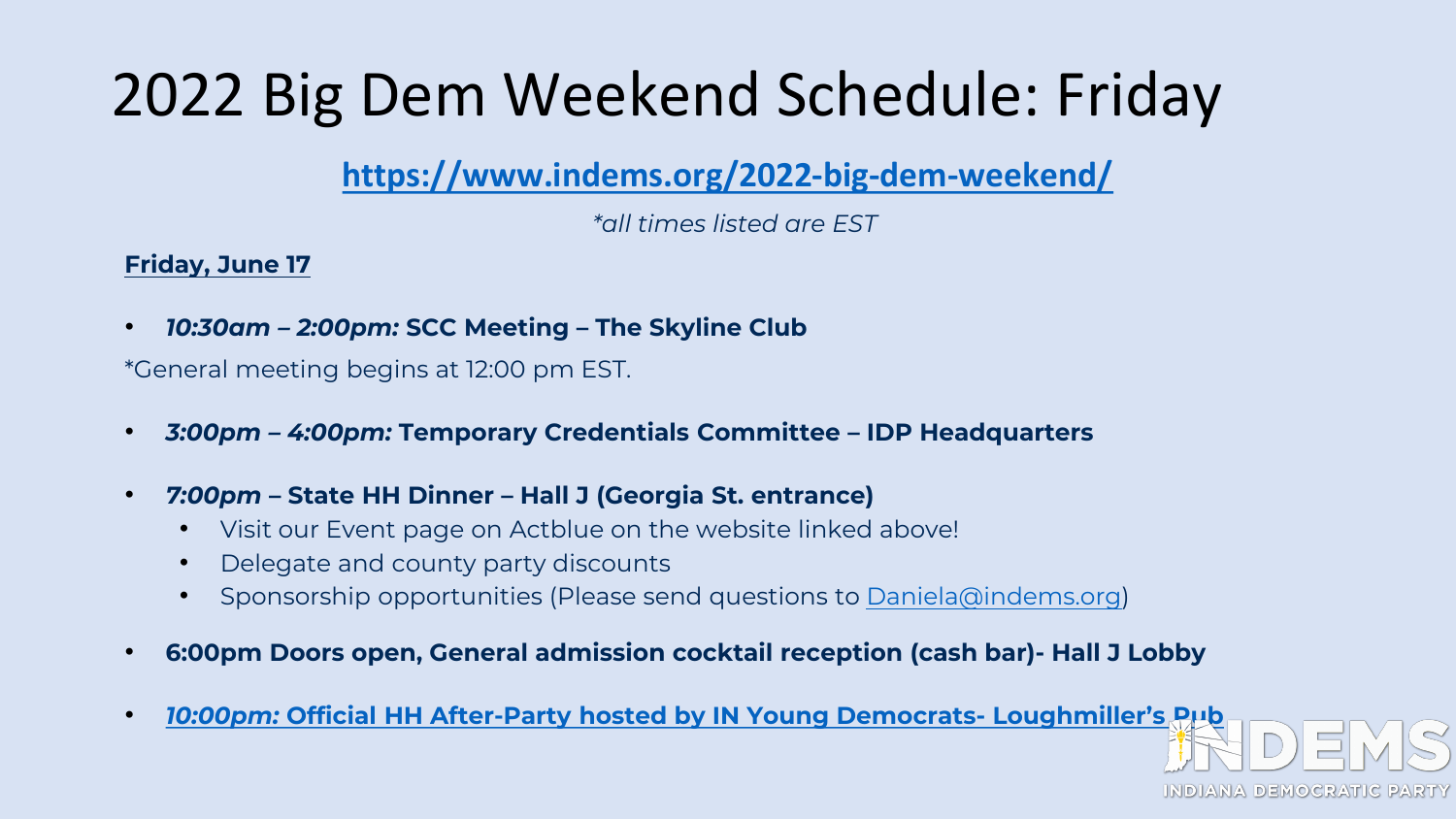# 2022 Big Dem Weekend Schedule: Friday

### **<https://www.indems.org/2022-big-dem-weekend/>**

*\*all times listed are EST*

### **Friday, June 17**

• *10:30am – 2:00pm:* **SCC Meeting – The Skyline Club**

\*General meeting begins at 12:00 pm EST.

- *3:00pm – 4:00pm:* **Temporary Credentials Committee – IDP Headquarters**
- *7:00pm* **– State HH Dinner – Hall J (Georgia St. entrance)**
	- Visit our Event page on Actblue on the website linked above!
	- Delegate and county party discounts
	- Sponsorship opportunities (Please send questions to [Daniela@indems.org\)](mailto:Daniela@indems.org)
- **6:00pm Doors open, General admission cocktail reception (cash bar)- Hall J Lobby**
- *10:00pm:* **[Official HH After-Party hosted by IN Young Democrats-](https://www.indems.org/wp-content/uploads/2022/05/IYD1.jpg) Loughmiller's Pub**

INDIANA DEMOCRATIC I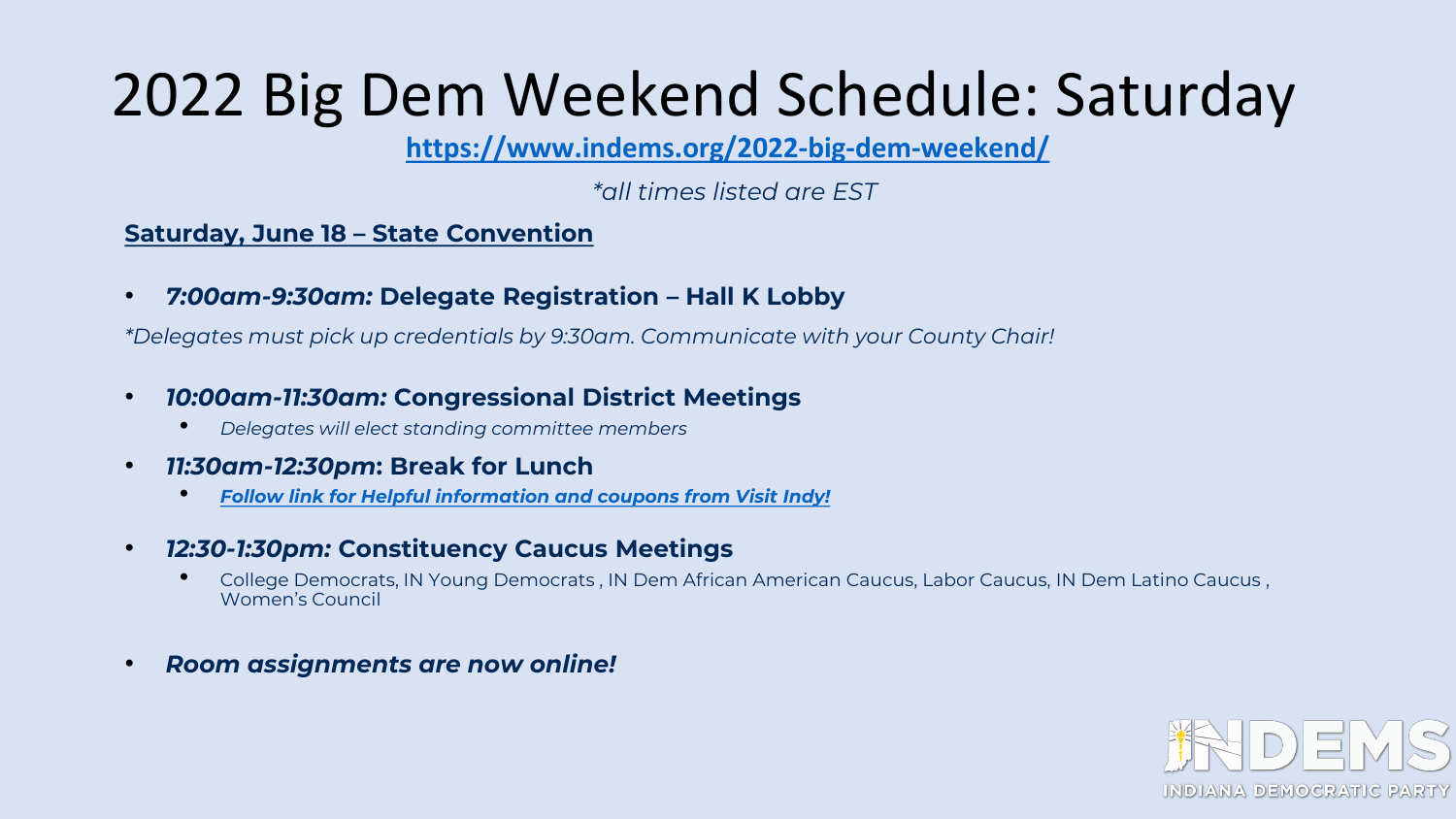### 2022 Big Dem Weekend Schedule: Saturday

**<https://www.indems.org/2022-big-dem-weekend/>**

*\*all times listed are EST*

#### **Saturday, June 18 – State Convention**

• *7:00am-9:30am:* **Delegate Registration – Hall K Lobby**

*\*Delegates must pick up credentials by 9:30am. Communicate with your County Chair!*

- *10:00am-11:30am:* **Congressional District Meetings**
	- *Delegates will elect standing committee members*
- *11:30am-12:30pm***: Break for Lunch**
	- *[Follow link for Helpful information and coupons from Visit Indy!](https://www.visitindy.com/bigdemweekend22)*
- *12:30-1:30pm:* **Constituency Caucus Meetings**
	- College Democrats, IN Young Democrats , IN Dem African American Caucus, Labor Caucus, IN Dem Latino Caucus , Women's Council
- *Room assignments are now online!*

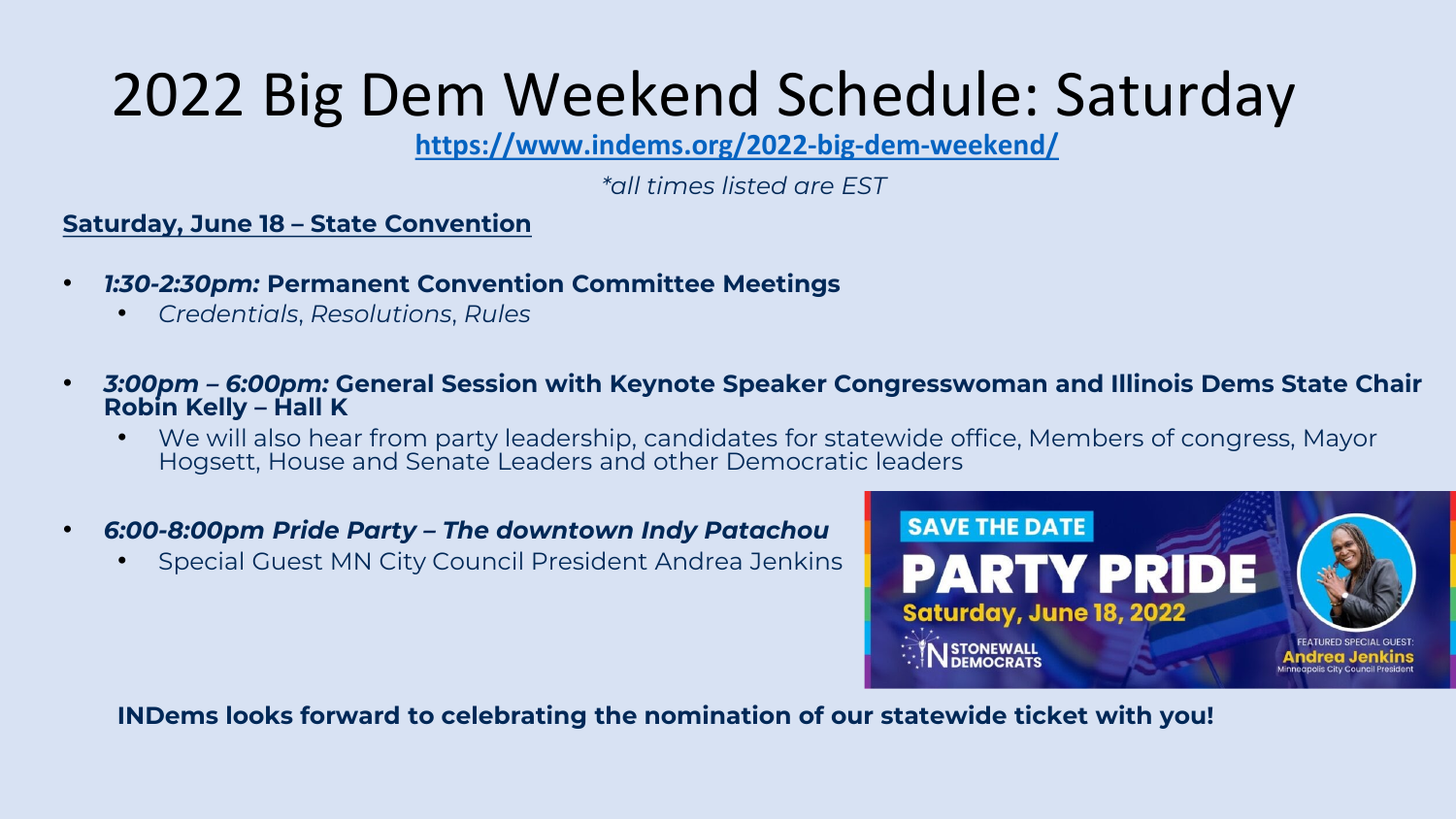# 2022 Big Dem Weekend Schedule: Saturday

**<https://www.indems.org/2022-big-dem-weekend/>**

*\*all times listed are EST*

#### **Saturday, June 18 – State Convention**

- *1:30-2:30pm:* **Permanent Convention Committee Meetings**
	- *Credentials*, *Resolutions*, *Rules*
- *3:00pm – 6:00pm:* **General Session with Keynote Speaker Congresswoman and Illinois Dems State Chair Robin Kelly – Hall K**
	- We will also hear from party leadership, candidates for statewide office, Members of congress, Mayor Hogsett, House and Senate Leaders and other Democratic leaders
- *6:00-8:00pm Pride Party – The downtown Indy Patachou*
	- Special Guest MN City Council President Andrea Jenkins



**INDems looks forward to celebrating the nomination of our statewide ticket with you!**